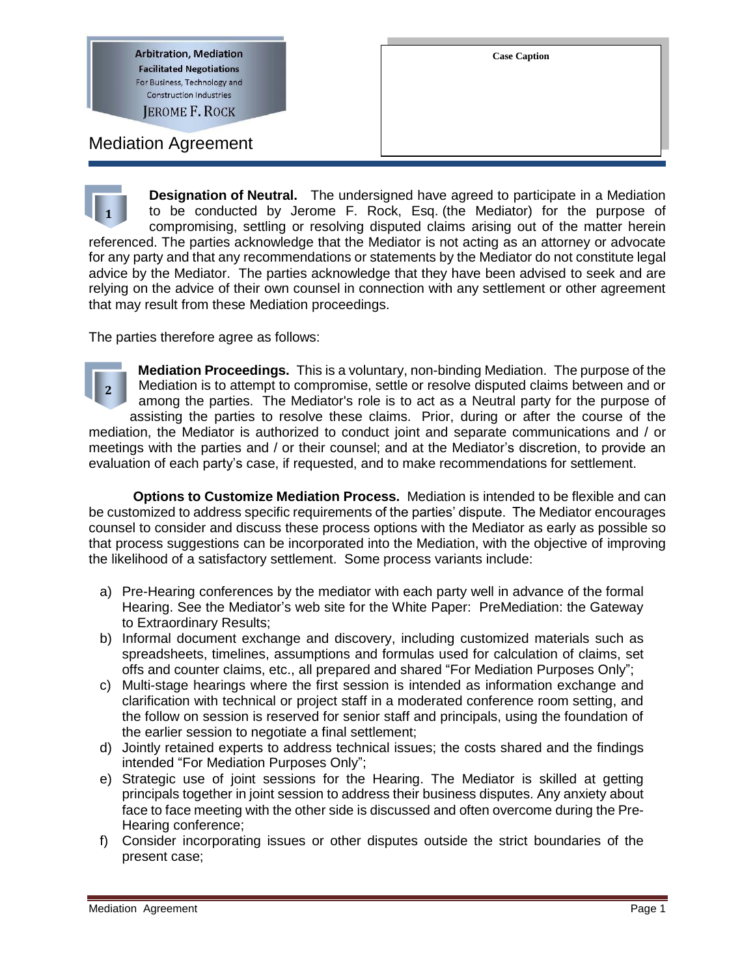**Arbitration, Mediation Facilitated Negotiations** For Business, Technology and **Construction Industries JEROME F. ROCK** 

Mediation Agreement

**Designation of Neutral.** The undersigned have agreed to participate in a Mediation to be conducted by Jerome F. Rock, Esq. (the Mediator) for the purpose of compromising, settling or resolving disputed claims arising out of the matter herein referenced. The parties acknowledge that the Mediator is not acting as an attorney or advocate for any party and that any recommendations or statements by the Mediator do not constitute legal advice by the Mediator. The parties acknowledge that they have been advised to seek and are relying on the advice of their own counsel in connection with any settlement or other agreement that may result from these Mediation proceedings. **1**

The parties therefore agree as follows:

**Mediation Proceedings.** This is a voluntary, non-binding Mediation. The purpose of the Mediation is to attempt to compromise, settle or resolve disputed claims between and or among the parties. The Mediator's role is to act as a Neutral party for the purpose of assisting the parties to resolve these claims. Prior, during or after the course of the mediation, the Mediator is authorized to conduct joint and separate communications and / or meetings with the parties and / or their counsel; and at the Mediator's discretion, to provide an evaluation of each party's case, if requested, and to make recommendations for settlement. **2**

**Options to Customize Mediation Process.** Mediation is intended to be flexible and can be customized to address specific requirements of the parties' dispute. The Mediator encourages counsel to consider and discuss these process options with the Mediator as early as possible so that process suggestions can be incorporated into the Mediation, with the objective of improving the likelihood of a satisfactory settlement. Some process variants include:

- a) Pre-Hearing conferences by the mediator with each party well in advance of the formal Hearing. See the Mediator's web site for the White Paper: PreMediation: the Gateway to Extraordinary Results;
- b) Informal document exchange and discovery, including customized materials such as spreadsheets, timelines, assumptions and formulas used for calculation of claims, set offs and counter claims, etc., all prepared and shared "For Mediation Purposes Only";
- c) Multi-stage hearings where the first session is intended as information exchange and clarification with technical or project staff in a moderated conference room setting, and the follow on session is reserved for senior staff and principals, using the foundation of the earlier session to negotiate a final settlement;
- d) Jointly retained experts to address technical issues; the costs shared and the findings intended "For Mediation Purposes Only";
- e) Strategic use of joint sessions for the Hearing. The Mediator is skilled at getting principals together in joint session to address their business disputes. Any anxiety about face to face meeting with the other side is discussed and often overcome during the Pre-Hearing conference;
- f) Consider incorporating issues or other disputes outside the strict boundaries of the present case;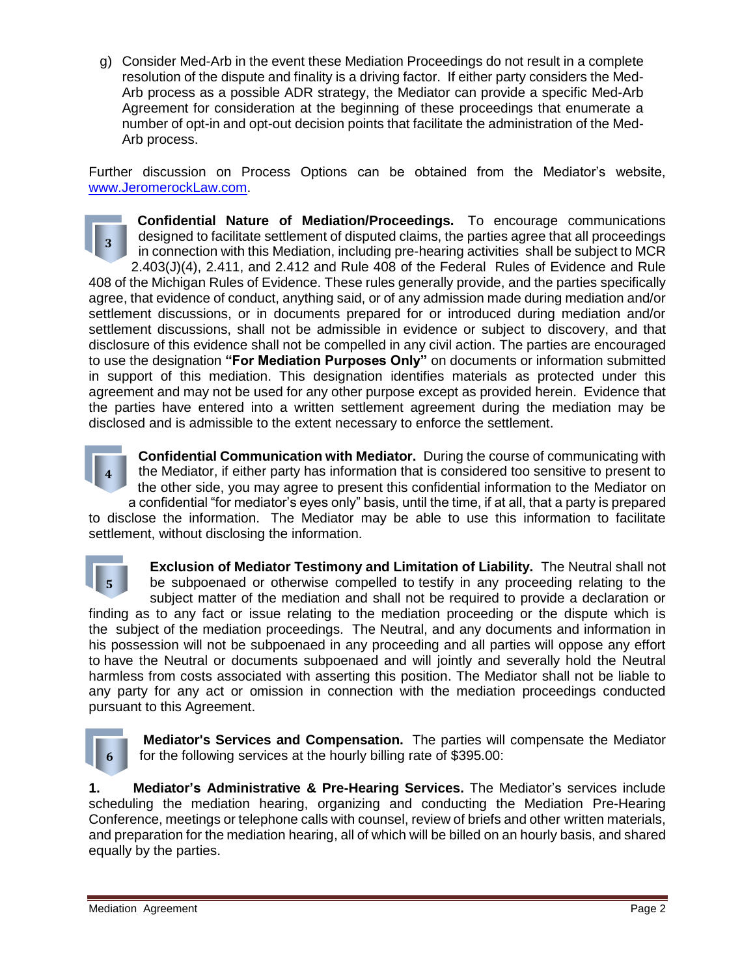g) Consider Med-Arb in the event these Mediation Proceedings do not result in a complete resolution of the dispute and finality is a driving factor. If either party considers the Med-Arb process as a possible ADR strategy, the Mediator can provide a specific Med-Arb Agreement for consideration at the beginning of these proceedings that enumerate a number of opt-in and opt-out decision points that facilitate the administration of the Med-Arb process.

Further discussion on Process Options can be obtained from the Mediator's website, [www.JeromerockLaw.com.](http://www.jeromerocklaw.com/)

**Confidential Nature of Mediation/Proceedings.** To encourage communications designed to facilitate settlement of disputed claims, the parties agree that all proceedings in connection with this Mediation, including pre-hearing activities shall be subject to MCR 2.403(J)(4), 2.411, and 2.412 and Rule 408 of the Federal Rules of Evidence and Rule 408 of the Michigan Rules of Evidence. These rules generally provide, and the parties specifically agree, that evidence of conduct, anything said, or of any admission made during mediation and/or settlement discussions, or in documents prepared for or introduced during mediation and/or settlement discussions, shall not be admissible in evidence or subject to discovery, and that disclosure of this evidence shall not be compelled in any civil action. The parties are encouraged to use the designation **"For Mediation Purposes Only"** on documents or information submitted in support of this mediation. This designation identifies materials as protected under this agreement and may not be used for any other purpose except as provided herein. Evidence that the parties have entered into a written settlement agreement during the mediation may be disclosed and is admissible to the extent necessary to enforce the settlement. **3**



**Confidential Communication with Mediator.** During the course of communicating with the Mediator, if either party has information that is considered too sensitive to present to the other side, you may agree to present this confidential information to the Mediator on a confidential "for mediator's eyes only" basis, until the time, if at all, that a party is prepared to disclose the information. The Mediator may be able to use this information to facilitate

settlement, without disclosing the information.



**Exclusion of Mediator Testimony and Limitation of Liability.** The Neutral shall not be subpoenaed or otherwise compelled to testify in any proceeding relating to the subject matter of the mediation and shall not be required to provide a declaration or finding as to any fact or issue relating to the mediation proceeding or the dispute which is the subject of the mediation proceedings. The Neutral, and any documents and information in his possession will not be subpoenaed in any proceeding and all parties will oppose any effort to have the Neutral or documents subpoenaed and will jointly and severally hold the Neutral harmless from costs associated with asserting this position. The Mediator shall not be liable to any party for any act or omission in connection with the mediation proceedings conducted pursuant to this Agreement.



**Mediator's Services and Compensation.** The parties will compensate the Mediator for the following services at the hourly billing rate of \$395.00:

**1. Mediator's Administrative & Pre-Hearing Services.** The Mediator's services include scheduling the mediation hearing, organizing and conducting the Mediation Pre-Hearing Conference, meetings or telephone calls with counsel, review of briefs and other written materials, and preparation for the mediation hearing, all of which will be billed on an hourly basis, and shared equally by the parties.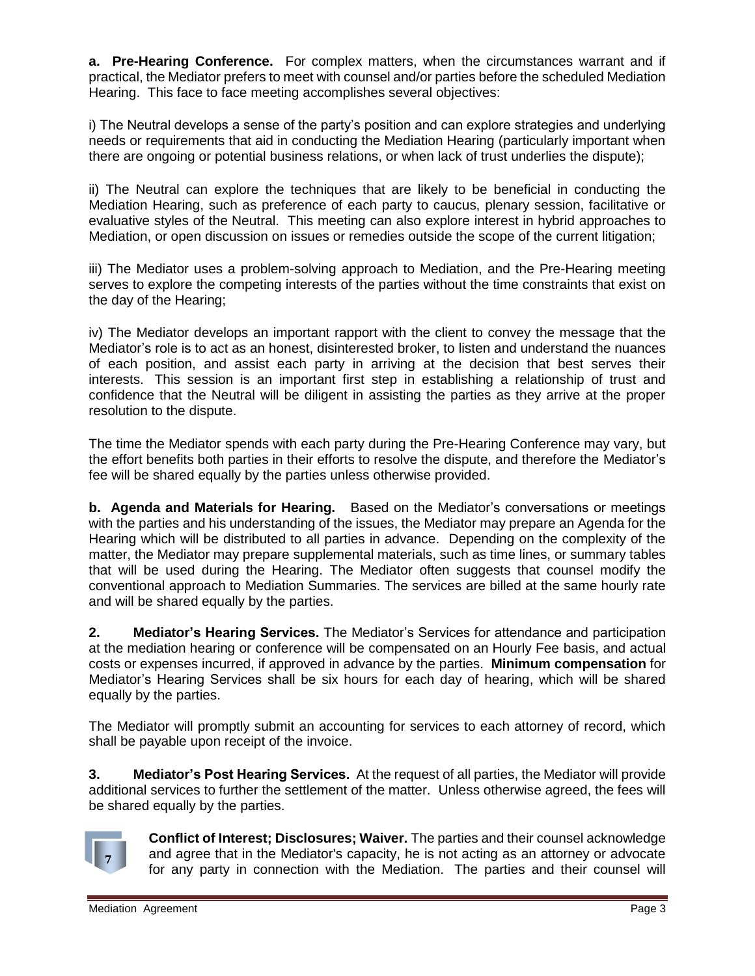**a. Pre-Hearing Conference.** For complex matters, when the circumstances warrant and if practical, the Mediator prefers to meet with counsel and/or parties before the scheduled Mediation Hearing. This face to face meeting accomplishes several objectives:

i) The Neutral develops a sense of the party's position and can explore strategies and underlying needs or requirements that aid in conducting the Mediation Hearing (particularly important when there are ongoing or potential business relations, or when lack of trust underlies the dispute);

ii) The Neutral can explore the techniques that are likely to be beneficial in conducting the Mediation Hearing, such as preference of each party to caucus, plenary session, facilitative or evaluative styles of the Neutral. This meeting can also explore interest in hybrid approaches to Mediation, or open discussion on issues or remedies outside the scope of the current litigation;

iii) The Mediator uses a problem-solving approach to Mediation, and the Pre-Hearing meeting serves to explore the competing interests of the parties without the time constraints that exist on the day of the Hearing;

iv) The Mediator develops an important rapport with the client to convey the message that the Mediator's role is to act as an honest, disinterested broker, to listen and understand the nuances of each position, and assist each party in arriving at the decision that best serves their interests. This session is an important first step in establishing a relationship of trust and confidence that the Neutral will be diligent in assisting the parties as they arrive at the proper resolution to the dispute.

The time the Mediator spends with each party during the Pre-Hearing Conference may vary, but the effort benefits both parties in their efforts to resolve the dispute, and therefore the Mediator's fee will be shared equally by the parties unless otherwise provided.

**b. Agenda and Materials for Hearing.** Based on the Mediator's conversations or meetings with the parties and his understanding of the issues, the Mediator may prepare an Agenda for the Hearing which will be distributed to all parties in advance. Depending on the complexity of the matter, the Mediator may prepare supplemental materials, such as time lines, or summary tables that will be used during the Hearing. The Mediator often suggests that counsel modify the conventional approach to Mediation Summaries. The services are billed at the same hourly rate and will be shared equally by the parties.

**2. Mediator's Hearing Services.** The Mediator's Services for attendance and participation at the mediation hearing or conference will be compensated on an Hourly Fee basis, and actual costs or expenses incurred, if approved in advance by the parties. **Minimum compensation** for Mediator's Hearing Services shall be six hours for each day of hearing, which will be shared equally by the parties.

The Mediator will promptly submit an accounting for services to each attorney of record, which shall be payable upon receipt of the invoice.

**3. Mediator's Post Hearing Services.** At the request of all parties, the Mediator will provide additional services to further the settlement of the matter. Unless otherwise agreed, the fees will be shared equally by the parties.



**Conflict of Interest; Disclosures; Waiver.** The parties and their counsel acknowledge and agree that in the Mediator's capacity, he is not acting as an attorney or advocate for any party in connection with the Mediation. The parties and their counsel will